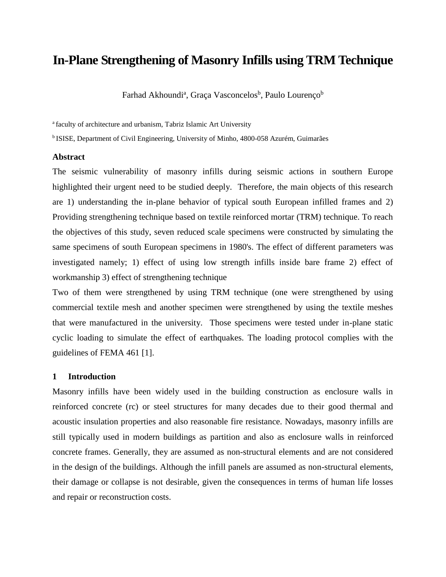# **In-Plane Strengthening of Masonry Infills using TRM Technique**

Farhad Akhoundi<sup>a</sup>, Graça Vasconcelos<sup>b</sup>, Paulo Lourenço<sup>b</sup>

<sup>a</sup> faculty of architecture and urbanism, Tabriz Islamic Art University

<sup>b</sup> ISISE, Department of Civil Engineering, University of Minho, 4800-058 Azurém, Guimarães

# **Abstract**

The seismic vulnerability of masonry infills during seismic actions in southern Europe highlighted their urgent need to be studied deeply. Therefore, the main objects of this research are 1) understanding the in-plane behavior of typical south European infilled frames and 2) Providing strengthening technique based on textile reinforced mortar (TRM) technique. To reach the objectives of this study, seven reduced scale specimens were constructed by simulating the same specimens of south European specimens in 1980's. The effect of different parameters was investigated namely; 1) effect of using low strength infills inside bare frame 2) effect of workmanship 3) effect of strengthening technique

Two of them were strengthened by using TRM technique (one were strengthened by using commercial textile mesh and another specimen were strengthened by using the textile meshes that were manufactured in the university. Those specimens were tested under in-plane static cyclic loading to simulate the effect of earthquakes. The loading protocol complies with the guidelines of FEMA 461 [\[1\]](#page-12-0).

#### **1 Introduction**

Masonry infills have been widely used in the building construction as enclosure walls in reinforced concrete (rc) or steel structures for many decades due to their good thermal and acoustic insulation properties and also reasonable fire resistance. Nowadays, masonry infills are still typically used in modern buildings as partition and also as enclosure walls in reinforced concrete frames. Generally, they are assumed as non-structural elements and are not considered in the design of the buildings. Although the infill panels are assumed as non-structural elements, their damage or collapse is not desirable, given the consequences in terms of human life losses and repair or reconstruction costs.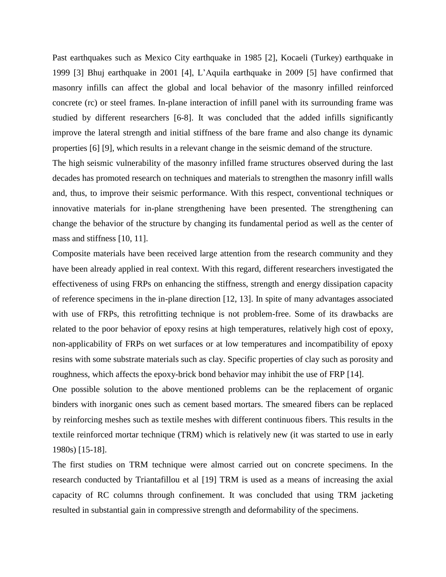Past earthquakes such as Mexico City earthquake in 1985 [\[2\]](#page-12-1), Kocaeli (Turkey) earthquake in 1999 [\[3\]](#page-12-2) Bhuj earthquake in 2001 [\[4\]](#page-12-3), L'Aquila earthquake in 2009 [\[5\]](#page-12-4) have confirmed that masonry infills can affect the global and local behavior of the masonry infilled reinforced concrete (rc) or steel frames. In-plane interaction of infill panel with its surrounding frame was studied by different researchers [\[6-8\]](#page-12-5). It was concluded that the added infills significantly improve the lateral strength and initial stiffness of the bare frame and also change its dynamic properties [\[6\]](#page-12-5) [\[9\]](#page-13-0), which results in a relevant change in the seismic demand of the structure.

The high seismic vulnerability of the masonry infilled frame structures observed during the last decades has promoted research on techniques and materials to strengthen the masonry infill walls and, thus, to improve their seismic performance. With this respect, conventional techniques or innovative materials for in-plane strengthening have been presented. The strengthening can change the behavior of the structure by changing its fundamental period as well as the center of mass and stiffness [\[10,](#page-13-1) [11\]](#page-13-2).

Composite materials have been received large attention from the research community and they have been already applied in real context. With this regard, different researchers investigated the effectiveness of using FRPs on enhancing the stiffness, strength and energy dissipation capacity of reference specimens in the in-plane direction [\[12,](#page-13-3) [13\]](#page-13-4). In spite of many advantages associated with use of FRPs, this retrofitting technique is not problem-free. Some of its drawbacks are related to the poor behavior of epoxy resins at high temperatures, relatively high cost of epoxy, non-applicability of FRPs on wet surfaces or at low temperatures and incompatibility of epoxy resins with some substrate materials such as clay. Specific properties of clay such as porosity and roughness, which affects the epoxy-brick bond behavior may inhibit the use of FRP [\[14\]](#page-13-5).

One possible solution to the above mentioned problems can be the replacement of organic binders with inorganic ones such as cement based mortars. The smeared fibers can be replaced by reinforcing meshes such as textile meshes with different continuous fibers. This results in the textile reinforced mortar technique (TRM) which is relatively new (it was started to use in early 1980s) [\[15-18\]](#page-13-6).

The first studies on TRM technique were almost carried out on concrete specimens. In the research conducted by Triantafillou et al [\[19\]](#page-13-7) TRM is used as a means of increasing the axial capacity of RC columns through confinement. It was concluded that using TRM jacketing resulted in substantial gain in compressive strength and deformability of the specimens.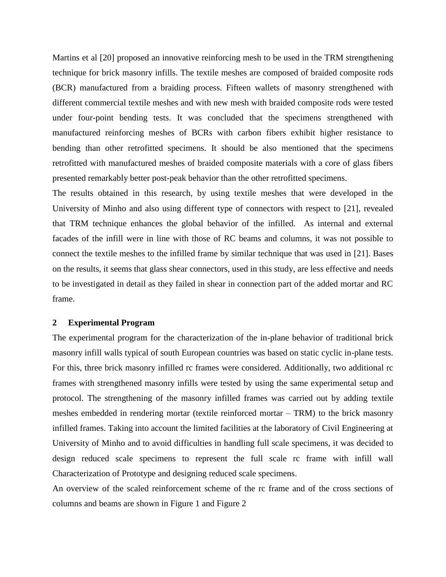Martins et al [\[20\]](#page-13-8) proposed an innovative reinforcing mesh to be used in the TRM strengthening technique for brick masonry infills. The textile meshes are composed of braided composite rods (BCR) manufactured from a braiding process. Fifteen wallets of masonry strengthened with different commercial textile meshes and with new mesh with braided composite rods were tested under four-point bending tests. It was concluded that the specimens strengthened with manufactured reinforcing meshes of BCRs with carbon fibers exhibit higher resistance to bending than other retrofitted specimens. It should be also mentioned that the specimens retrofitted with manufactured meshes of braided composite materials with a core of glass fibers presented remarkably better post-peak behavior than the other retrofitted specimens.

The results obtained in this research, by using textile meshes that were developed in the University of Minho and also using different type of connectors with respect to [\[21\]](#page-13-9), revealed that TRM technique enhances the global behavior of the infilled. As internal and external facades of the infill were in line with those of RC beams and columns, it was not possible to connect the textile meshes to the infilled frame by similar technique that was used in [\[21\]](#page-13-9). Bases on the results, it seems that glass shear connectors, used in this study, are less effective and needs to be investigated in detail as they failed in shear in connection part of the added mortar and RC frame.

#### **2 Experimental Program**

The experimental program for the characterization of the in-plane behavior of traditional brick masonry infill walls typical of south European countries was based on static cyclic in-plane tests. For this, three brick masonry infilled rc frames were considered. Additionally, two additional rc frames with strengthened masonry infills were tested by using the same experimental setup and protocol. The strengthening of the masonry infilled frames was carried out by adding textile meshes embedded in rendering mortar (textile reinforced mortar – TRM) to the brick masonry infilled frames. Taking into account the limited facilities at the laboratory of Civil Engineering at University of Minho and to avoid difficulties in handling full scale specimens, it was decided to design reduced scale specimens to represent the full scale rc frame with infill wall Characterization of Prototype and designing reduced scale specimens.

An overview of the scaled reinforcement scheme of the rc frame and of the cross sections of columns and beams are shown in [Figure 1](#page-3-0) and [Figure 2](#page-3-1)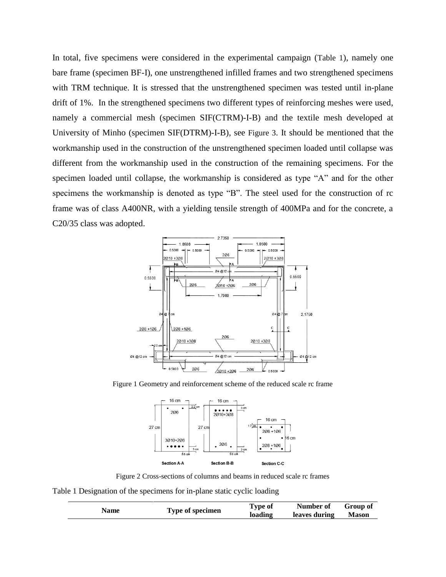In total, five specimens were considered in the experimental campaign ([Table 1](#page-3-2)), namely one bare frame (specimen BF-I), one unstrengthened infilled frames and two strengthened specimens with TRM technique. It is stressed that the unstrengthened specimen was tested until in-plane drift of 1%. In the strengthened specimens two different types of reinforcing meshes were used, namely a commercial mesh (specimen SIF(CTRM)-I-B) and the textile mesh developed at University of Minho (specimen SIF(DTRM)-I-B), see [Figure 3](#page-4-0). It should be mentioned that the workmanship used in the construction of the unstrengthened specimen loaded until collapse was different from the workmanship used in the construction of the remaining specimens. For the specimen loaded until collapse, the workmanship is considered as type "A" and for the other specimens the workmanship is denoted as type "B". The steel used for the construction of rc frame was of class A400NR, with a yielding tensile strength of 400MPa and for the concrete, a C20/35 class was adopted.



<span id="page-3-0"></span>Figure 1 Geometry and reinforcement scheme of the reduced scale rc frame



Figure 2 Cross-sections of columns and beams in reduced scale rc frames

<span id="page-3-2"></span><span id="page-3-1"></span>Table 1 Designation of the specimens for in-plane static cyclic loading

| Name | Type of specimen | Type of | Number of     | Group of     |
|------|------------------|---------|---------------|--------------|
|      |                  | loading | leaves during | <b>Mason</b> |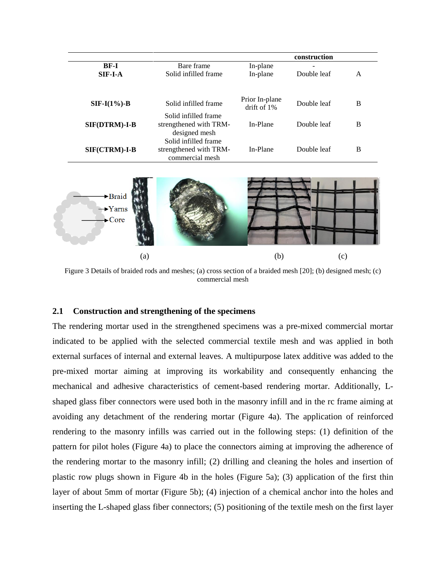|                      |                        |                                  | construction |   |
|----------------------|------------------------|----------------------------------|--------------|---|
| <b>BF-I</b>          | Bare frame             | In-plane                         |              |   |
| $SIF-I-A$            | Solid infilled frame   | In-plane                         | Double leaf  | A |
|                      |                        |                                  |              |   |
| $SIF-I(1\%)-B$       | Solid infilled frame   | Prior In-plane<br>drift of $1\%$ | Double leaf  | B |
|                      | Solid infilled frame   |                                  |              |   |
| <b>SIF(DTRM)-I-B</b> | strengthened with TRM- | In-Plane                         | Double leaf  | B |
|                      | designed mesh          |                                  |              |   |
|                      | Solid infilled frame   |                                  |              |   |
| $SIF(CTRM)-I-B$      | strengthened with TRM- | In-Plane                         | Double leaf  | B |
|                      | commercial mesh        |                                  |              |   |



<span id="page-4-0"></span>Figure 3 Details of braided rods and meshes; (a) cross section of a braided mesh [\[20\]](#page-13-8); (b) designed mesh; (c) commercial mesh

# **2.1 Construction and strengthening of the specimens**

The rendering mortar used in the strengthened specimens was a pre-mixed commercial mortar indicated to be applied with the selected commercial textile mesh and was applied in both external surfaces of internal and external leaves. A multipurpose latex additive was added to the pre-mixed mortar aiming at improving its workability and consequently enhancing the mechanical and adhesive characteristics of cement-based rendering mortar. Additionally, Lshaped glass fiber connectors were used both in the masonry infill and in the rc frame aiming at avoiding any detachment of the rendering mortar [\(Figure 4a](#page-5-0)). The application of reinforced rendering to the masonry infills was carried out in the following steps: (1) definition of the pattern for pilot holes [\(Figure 4a](#page-5-0)) to place the connectors aiming at improving the adherence of the rendering mortar to the masonry infill; (2) drilling and cleaning the holes and insertion of plastic row plugs shown in [Figure 4b](#page-5-0) in the holes [\(Figure 5a](#page-5-1)); (3) application of the first thin layer of about 5mm of mortar [\(Figure 5b](#page-5-1)); (4) injection of a chemical anchor into the holes and inserting the L-shaped glass fiber connectors; (5) positioning of the textile mesh on the first layer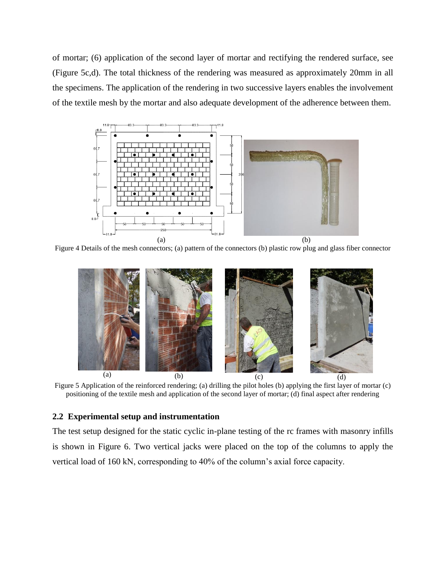of mortar; (6) application of the second layer of mortar and rectifying the rendered surface, see [\(Figure 5c](#page-5-1),d). The total thickness of the rendering was measured as approximately 20mm in all the specimens. The application of the rendering in two successive layers enables the involvement of the textile mesh by the mortar and also adequate development of the adherence between them.



<span id="page-5-0"></span>Figure 4 Details of the mesh connectors; (a) pattern of the connectors (b) plastic row plug and glass fiber connector



Figure 5 Application of the reinforced rendering; (a) drilling the pilot holes (b) applying the first layer of mortar (c) positioning of the textile mesh and application of the second layer of mortar; (d) final aspect after rendering

# <span id="page-5-1"></span>**2.2 Experimental setup and instrumentation**

The test setup designed for the static cyclic in-plane testing of the rc frames with masonry infills is shown in [Figure 6.](#page-6-0) Two vertical jacks were placed on the top of the columns to apply the vertical load of 160 kN, corresponding to 40% of the column's axial force capacity.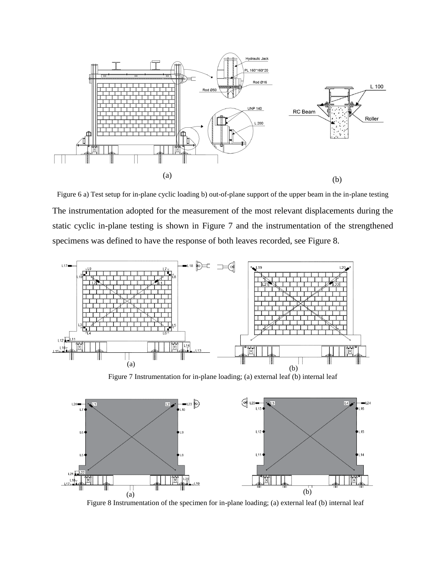

<span id="page-6-0"></span>Figure 6 a) Test setup for in-plane cyclic loading b) out-of-plane support of the upper beam in the in-plane testing The instrumentation adopted for the measurement of the most relevant displacements during the static cyclic in-plane testing is shown in [Figure 7](#page-6-1) and the instrumentation of the strengthened specimens was defined to have the response of both leaves recorded, see [Figure 8.](#page-6-2)



Figure 7 Instrumentation for in-plane loading; (a) external leaf (b) internal leaf

<span id="page-6-1"></span>

<span id="page-6-2"></span>Figure 8 Instrumentation of the specimen for in-plane loading; (a) external leaf (b) internal leaf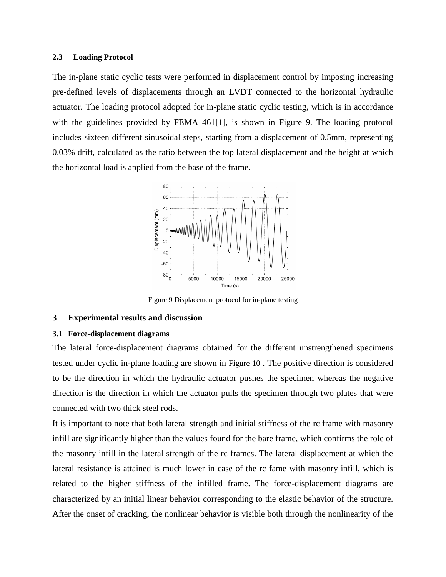#### **2.3 Loading Protocol**

The in-plane static cyclic tests were performed in displacement control by imposing increasing pre-defined levels of displacements through an LVDT connected to the horizontal hydraulic actuator. The loading protocol adopted for in-plane static cyclic testing, which is in accordance with the guidelines provided by FEMA 461<sup>[\[1\]](#page-12-0)</sup>, is shown in [Figure 9.](#page-7-0) The loading protocol includes sixteen different sinusoidal steps, starting from a displacement of 0.5mm, representing 0.03% drift, calculated as the ratio between the top lateral displacement and the height at which the horizontal load is applied from the base of the frame.



Figure 9 Displacement protocol for in-plane testing

# <span id="page-7-0"></span>**3 Experimental results and discussion**

### **3.1 Force-displacement diagrams**

The lateral force-displacement diagrams obtained for the different unstrengthened specimens tested under cyclic in-plane loading are shown in [Figure 10](#page-8-0) . The positive direction is considered to be the direction in which the hydraulic actuator pushes the specimen whereas the negative direction is the direction in which the actuator pulls the specimen through two plates that were connected with two thick steel rods.

It is important to note that both lateral strength and initial stiffness of the rc frame with masonry infill are significantly higher than the values found for the bare frame, which confirms the role of the masonry infill in the lateral strength of the rc frames. The lateral displacement at which the lateral resistance is attained is much lower in case of the rc fame with masonry infill, which is related to the higher stiffness of the infilled frame. The force-displacement diagrams are characterized by an initial linear behavior corresponding to the elastic behavior of the structure. After the onset of cracking, the nonlinear behavior is visible both through the nonlinearity of the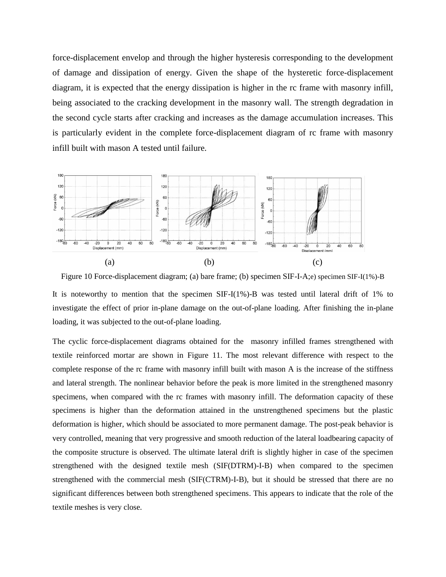force-displacement envelop and through the higher hysteresis corresponding to the development of damage and dissipation of energy. Given the shape of the hysteretic force-displacement diagram, it is expected that the energy dissipation is higher in the rc frame with masonry infill, being associated to the cracking development in the masonry wall. The strength degradation in the second cycle starts after cracking and increases as the damage accumulation increases. This is particularly evident in the complete force-displacement diagram of rc frame with masonry infill built with mason A tested until failure.



<span id="page-8-0"></span>Figure 10 Force-displacement diagram; (a) bare frame; (b) specimen SIF-I-A;e) specimen SIF-I(1%)-B It is noteworthy to mention that the specimen SIF-I(1%)-B was tested until lateral drift of 1% to investigate the effect of prior in-plane damage on the out-of-plane loading. After finishing the in-plane loading, it was subjected to the out-of-plane loading.

The cyclic force-displacement diagrams obtained for the masonry infilled frames strengthened with textile reinforced mortar are shown in [Figure 11.](#page-9-0) The most relevant difference with respect to the complete response of the rc frame with masonry infill built with mason A is the increase of the stiffness and lateral strength. The nonlinear behavior before the peak is more limited in the strengthened masonry specimens, when compared with the rc frames with masonry infill. The deformation capacity of these specimens is higher than the deformation attained in the unstrengthened specimens but the plastic deformation is higher, which should be associated to more permanent damage. The post-peak behavior is very controlled, meaning that very progressive and smooth reduction of the lateral loadbearing capacity of the composite structure is observed. The ultimate lateral drift is slightly higher in case of the specimen strengthened with the designed textile mesh (SIF(DTRM)-I-B) when compared to the specimen strengthened with the commercial mesh (SIF(CTRM)-I-B), but it should be stressed that there are no significant differences between both strengthened specimens. This appears to indicate that the role of the textile meshes is very close.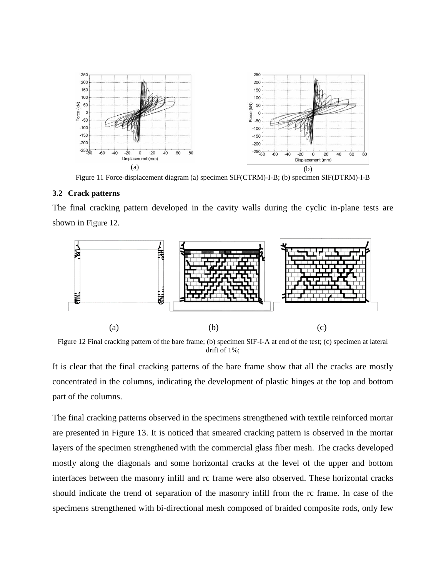

Figure 11 Force-displacement diagram (a) specimen SIF(CTRM)-I-B; (b) specimen SIF(DTRM)-I-B

# <span id="page-9-0"></span>**3.2 Crack patterns**

The final cracking pattern developed in the cavity walls during the cyclic in-plane tests are shown in [Figure 12](#page-9-1).



<span id="page-9-1"></span>Figure 12 Final cracking pattern of the bare frame; (b) specimen SIF-I-A at end of the test; (c) specimen at lateral drift of 1%;

It is clear that the final cracking patterns of the bare frame show that all the cracks are mostly concentrated in the columns, indicating the development of plastic hinges at the top and bottom part of the columns.

The final cracking patterns observed in the specimens strengthened with textile reinforced mortar are presented in [Figure 13.](#page-10-0) It is noticed that smeared cracking pattern is observed in the mortar layers of the specimen strengthened with the commercial glass fiber mesh. The cracks developed mostly along the diagonals and some horizontal cracks at the level of the upper and bottom interfaces between the masonry infill and rc frame were also observed. These horizontal cracks should indicate the trend of separation of the masonry infill from the rc frame. In case of the specimens strengthened with bi-directional mesh composed of braided composite rods, only few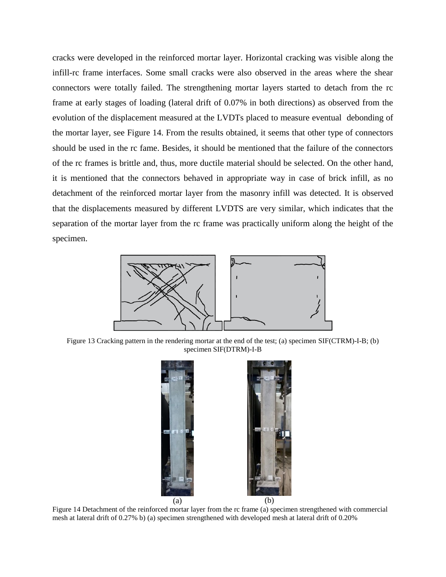cracks were developed in the reinforced mortar layer. Horizontal cracking was visible along the infill-rc frame interfaces. Some small cracks were also observed in the areas where the shear connectors were totally failed. The strengthening mortar layers started to detach from the rc frame at early stages of loading (lateral drift of 0.07% in both directions) as observed from the evolution of the displacement measured at the LVDTs placed to measure eventual debonding of the mortar layer, see [Figure 14.](#page-10-1) From the results obtained, it seems that other type of connectors should be used in the rc fame. Besides, it should be mentioned that the failure of the connectors of the rc frames is brittle and, thus, more ductile material should be selected. On the other hand, it is mentioned that the connectors behaved in appropriate way in case of brick infill, as no detachment of the reinforced mortar layer from the masonry infill was detected. It is observed that the displacements measured by different LVDTS are very similar, which indicates that the separation of the mortar layer from the rc frame was practically uniform along the height of the specimen.



<span id="page-10-0"></span>Figure 13 Cracking pattern in the rendering mortar at the end of the test; (a) specimen SIF(CTRM)-I-B; (b) specimen SIF(DTRM)-I-B

<span id="page-10-1"></span>

Figure 14 Detachment of the reinforced mortar layer from the rc frame (a) specimen strengthened with commercial mesh at lateral drift of 0.27% b) (a) specimen strengthened with developed mesh at lateral drift of 0.20%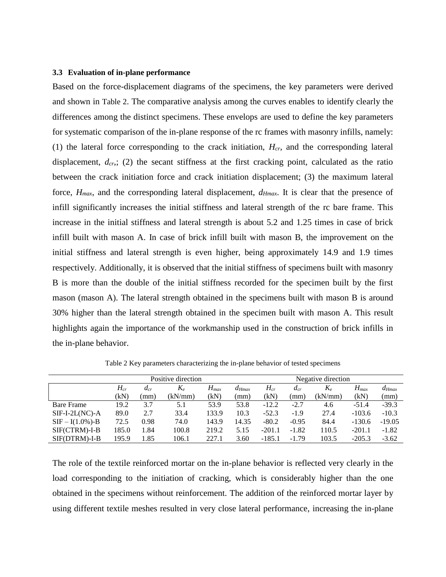#### **3.3 Evaluation of in-plane performance**

Based on the force-displacement diagrams of the specimens, the key parameters were derived and shown in [Table 2](#page-11-0). The comparative analysis among the curves enables to identify clearly the differences among the distinct specimens. These envelops are used to define the key parameters for systematic comparison of the in-plane response of the rc frames with masonry infills, namely: (1) the lateral force corresponding to the crack initiation, *Hcr,* and the corresponding lateral displacement, *dcr*,; (2) the secant stiffness at the first cracking point, calculated as the ratio between the crack initiation force and crack initiation displacement; (3) the maximum lateral force, *Hmax*, and the corresponding lateral displacement, *dHmax*. It is clear that the presence of infill significantly increases the initial stiffness and lateral strength of the rc bare frame. This increase in the initial stiffness and lateral strength is about 5.2 and 1.25 times in case of brick infill built with mason A. In case of brick infill built with mason B, the improvement on the initial stiffness and lateral strength is even higher, being approximately 14.9 and 1.9 times respectively. Additionally, it is observed that the initial stiffness of specimens built with masonry B is more than the double of the initial stiffness recorded for the specimen built by the first mason (mason A). The lateral strength obtained in the specimens built with mason B is around 30% higher than the lateral strength obtained in the specimen built with mason A. This result highlights again the importance of the workmanship used in the construction of brick infills in the in-plane behavior.

<span id="page-11-0"></span>

|                      | Positive direction |          |                            |           | Negative direction |          |          |                            |           |            |
|----------------------|--------------------|----------|----------------------------|-----------|--------------------|----------|----------|----------------------------|-----------|------------|
|                      | $H_{cr}$           | $d_{cr}$ | $K_{\scriptscriptstyle e}$ | $H_{max}$ | $a_{Hmax}$         | $H_{cr}$ | $d_{cr}$ | $K_{\scriptscriptstyle e}$ | $H_{max}$ | $d_{Hmax}$ |
|                      | (kN)               | (mm)     | (kN/mm)                    | (kN)      | (mm)               | (kN      | (mm)     | (kN/mm)                    | (kN)      | (mm)       |
| <b>Bare Frame</b>    | 19.2               | 3.7      | 5.1                        | 53.9      | 53.8               | $-12.2$  | $-2.7$   | 4.6                        | $-51.4$   | $-39.3$    |
| $SIF-I-2L(NC)-A$     | 89.0               | 2.7      | 33.4                       | 133.9     | 10.3               | $-52.3$  | $-1.9$   | 27.4                       | $-103.6$  | $-10.3$    |
| $SIF - I(1.0\%) - B$ | 72.5               | 0.98     | 74.0                       | 143.9     | 14.35              | $-80.2$  | $-0.95$  | 84.4                       | $-130.6$  | $-19.05$   |
| SIF(CTRM)-I-B        | 185.0              | 1.84     | 100.8                      | 219.2     | 5.15               | $-201.1$ | $-1.82$  | 110.5                      | $-201.1$  | $-1.82$    |
| SIF(DTRM)-I-B        | 195.9              | 1.85     | 106.1                      | 227.1     | 3.60               | $-185.1$ | $-1.79$  | 103.5                      | $-205.3$  | $-3.62$    |

Table 2 Key parameters characterizing the in-plane behavior of tested specimens

The role of the textile reinforced mortar on the in-plane behavior is reflected very clearly in the load corresponding to the initiation of cracking, which is considerably higher than the one obtained in the specimens without reinforcement. The addition of the reinforced mortar layer by using different textile meshes resulted in very close lateral performance, increasing the in-plane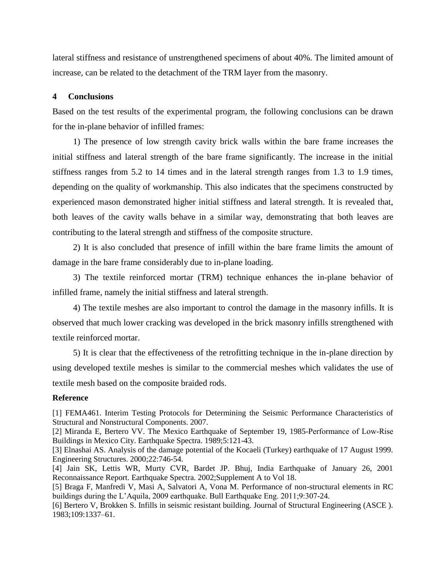lateral stiffness and resistance of unstrengthened specimens of about 40%. The limited amount of increase, can be related to the detachment of the TRM layer from the masonry.

### **4 Conclusions**

Based on the test results of the experimental program, the following conclusions can be drawn for the in-plane behavior of infilled frames:

1) The presence of low strength cavity brick walls within the bare frame increases the initial stiffness and lateral strength of the bare frame significantly. The increase in the initial stiffness ranges from 5.2 to 14 times and in the lateral strength ranges from 1.3 to 1.9 times, depending on the quality of workmanship. This also indicates that the specimens constructed by experienced mason demonstrated higher initial stiffness and lateral strength. It is revealed that, both leaves of the cavity walls behave in a similar way, demonstrating that both leaves are contributing to the lateral strength and stiffness of the composite structure.

2) It is also concluded that presence of infill within the bare frame limits the amount of damage in the bare frame considerably due to in-plane loading.

3) The textile reinforced mortar (TRM) technique enhances the in-plane behavior of infilled frame, namely the initial stiffness and lateral strength.

4) The textile meshes are also important to control the damage in the masonry infills. It is observed that much lower cracking was developed in the brick masonry infills strengthened with textile reinforced mortar.

5) It is clear that the effectiveness of the retrofitting technique in the in-plane direction by using developed textile meshes is similar to the commercial meshes which validates the use of textile mesh based on the composite braided rods.

#### **Reference**

<span id="page-12-0"></span>[1] FEMA461. Interim Testing Protocols for Determining the Seismic Performance Characteristics of Structural and Nonstructural Components. 2007.

<span id="page-12-1"></span>[2] Miranda E, Bertero VV. The Mexico Earthquake of September 19, 1985-Performance of Low‐Rise Buildings in Mexico City. Earthquake Spectra. 1989;5:121-43.

<span id="page-12-2"></span>[3] Elnashai AS. Analysis of the damage potential of the Kocaeli (Turkey) earthquake of 17 August 1999. Engineering Structures. 2000;22:746-54.

<span id="page-12-3"></span>[4] Jain SK, Lettis WR, Murty CVR, Bardet JP. Bhuj, India Earthquake of January 26, 2001 Reconnaissance Report. Earthquake Spectra. 2002;Supplement A to Vol 18.

<span id="page-12-4"></span>[5] Braga F, Manfredi V, Masi A, Salvatori A, Vona M. Performance of non-structural elements in RC buildings during the L'Aquila, 2009 earthquake. Bull Earthquake Eng. 2011;9:307-24.

<span id="page-12-5"></span>[6] Bertero V, Brokken S. Infills in seismic resistant building. Journal of Structural Engineering (ASCE ). 1983;109:1337–61.